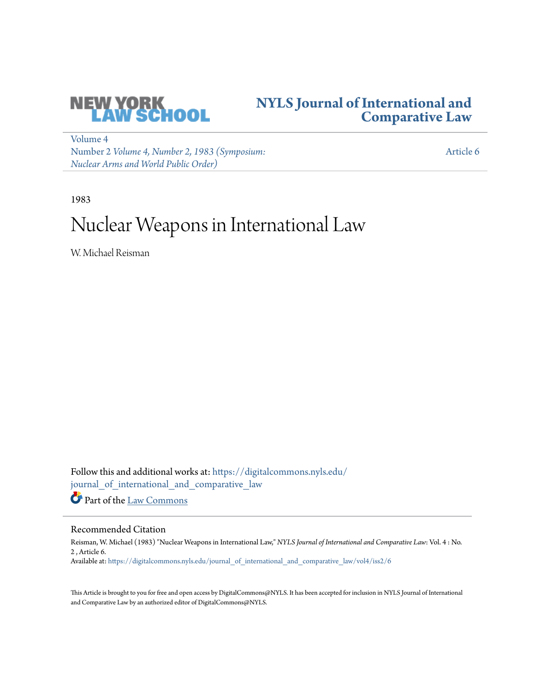

## **[NYLS Journal of International and](https://digitalcommons.nyls.edu/journal_of_international_and_comparative_law?utm_source=digitalcommons.nyls.edu%2Fjournal_of_international_and_comparative_law%2Fvol4%2Fiss2%2F6&utm_medium=PDF&utm_campaign=PDFCoverPages) [Comparative Law](https://digitalcommons.nyls.edu/journal_of_international_and_comparative_law?utm_source=digitalcommons.nyls.edu%2Fjournal_of_international_and_comparative_law%2Fvol4%2Fiss2%2F6&utm_medium=PDF&utm_campaign=PDFCoverPages)**

[Volume 4](https://digitalcommons.nyls.edu/journal_of_international_and_comparative_law/vol4?utm_source=digitalcommons.nyls.edu%2Fjournal_of_international_and_comparative_law%2Fvol4%2Fiss2%2F6&utm_medium=PDF&utm_campaign=PDFCoverPages) Number 2 *[Volume 4, Number 2, 1983 \(Symposium:](https://digitalcommons.nyls.edu/journal_of_international_and_comparative_law/vol4/iss2?utm_source=digitalcommons.nyls.edu%2Fjournal_of_international_and_comparative_law%2Fvol4%2Fiss2%2F6&utm_medium=PDF&utm_campaign=PDFCoverPages) [Nuclear Arms and World Public Order\)](https://digitalcommons.nyls.edu/journal_of_international_and_comparative_law/vol4/iss2?utm_source=digitalcommons.nyls.edu%2Fjournal_of_international_and_comparative_law%2Fvol4%2Fiss2%2F6&utm_medium=PDF&utm_campaign=PDFCoverPages)*

[Article 6](https://digitalcommons.nyls.edu/journal_of_international_and_comparative_law/vol4/iss2/6?utm_source=digitalcommons.nyls.edu%2Fjournal_of_international_and_comparative_law%2Fvol4%2Fiss2%2F6&utm_medium=PDF&utm_campaign=PDFCoverPages)

1983

## Nuclear Weapons in International Law

W. Michael Reisman

Follow this and additional works at: [https://digitalcommons.nyls.edu/](https://digitalcommons.nyls.edu/journal_of_international_and_comparative_law?utm_source=digitalcommons.nyls.edu%2Fjournal_of_international_and_comparative_law%2Fvol4%2Fiss2%2F6&utm_medium=PDF&utm_campaign=PDFCoverPages) [journal\\_of\\_international\\_and\\_comparative\\_law](https://digitalcommons.nyls.edu/journal_of_international_and_comparative_law?utm_source=digitalcommons.nyls.edu%2Fjournal_of_international_and_comparative_law%2Fvol4%2Fiss2%2F6&utm_medium=PDF&utm_campaign=PDFCoverPages) Part of the [Law Commons](http://network.bepress.com/hgg/discipline/578?utm_source=digitalcommons.nyls.edu%2Fjournal_of_international_and_comparative_law%2Fvol4%2Fiss2%2F6&utm_medium=PDF&utm_campaign=PDFCoverPages)

Recommended Citation

Reisman, W. Michael (1983) "Nuclear Weapons in International Law," *NYLS Journal of International and Comparative Law*: Vol. 4 : No. 2 , Article 6. Available at: [https://digitalcommons.nyls.edu/journal\\_of\\_international\\_and\\_comparative\\_law/vol4/iss2/6](https://digitalcommons.nyls.edu/journal_of_international_and_comparative_law/vol4/iss2/6?utm_source=digitalcommons.nyls.edu%2Fjournal_of_international_and_comparative_law%2Fvol4%2Fiss2%2F6&utm_medium=PDF&utm_campaign=PDFCoverPages)

This Article is brought to you for free and open access by DigitalCommons@NYLS. It has been accepted for inclusion in NYLS Journal of International and Comparative Law by an authorized editor of DigitalCommons@NYLS.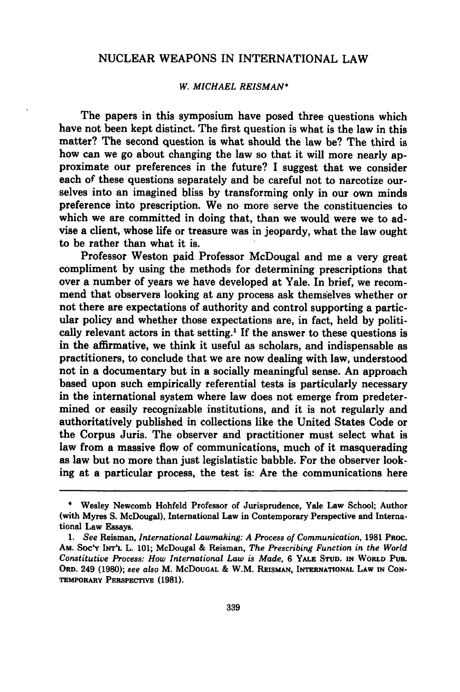## NUCLEAR WEAPONS IN INTERNATIONAL LAW

## *W. MICHAEL REISMAN\**

The papers in this symposium have posed three questions which have not been kept distinct. The first question is what is the law in this matter? The second question is what should the law be? The third is how can we go about changing the law so that it will more nearly approximate our preferences in the future? I suggest that we consider each of these questions separately and be careful not to narcotize ourselves into an imagined bliss **by** transforming only in our own minds preference into prescription. We no more serve the constituencies to which we are committed in doing that, than we would were we to advise a client, whose life or treasure was in jeopardy, what the law ought to be rather than what it is.

Professor Weston paid Professor McDougal and me a very great compliment **by** using the methods for determining prescriptions that over a number of years we have developed at Yale. In brief, we recommend that observers looking at any process ask themselves whether or not there are expectations of authority and control supporting a particular policy and whether those expectations are, in fact, held **by** politically relevant actors in that setting.<sup>1</sup> If the answer to these questions is in the affirmative, we think it useful as scholars, and indispensable as practitioners, to conclude that we are now dealing with law, understood not in a documentary but in a socially meaningful sense. An approach based upon such empirically referential tests is particularly necessary in the international system where law does not emerge from predetermined or easily recognizable institutions, and it is not regularly and authoritatively published in collections like the United States Code or the Corpus Juris. The observer and practitioner must select what is law from a massive flow of communications, much of it masquerading as law but no more than just legislatistic babble. For the observer looking at a particular process, the test is: Are the communications here

**<sup>\*</sup>** Wesley Newcomb Hohfeld Professor of Jurisprudence, Yale Law School; Author (with Myres **S.** McDougal), International Law in Contemporary Perspective and International Law Essays.

*<sup>1.</sup> See* Reisman, *International Lawmaking: A Process of Communication,* **1981 PROC. AM. Soc'Y INT'L** L. **101;** McDougal **&** Reisman, *The Prescribing Function in the World Constitutive Process: How International Law is Made,* **6 YALE STUD. IN WORLD PUB. ORD.** 249 **(1980);** *see also* M. **McDOUGAL** & W.M. **REISMAN, INTERNATIONAL LAW IN CON-TEMPORARY PERSPECTIVE (1981).**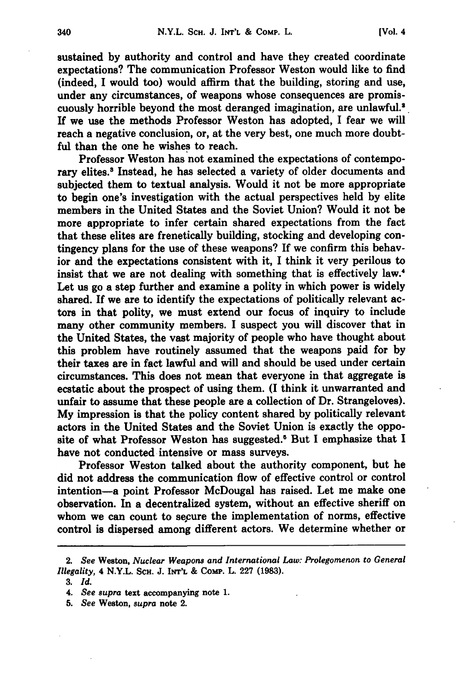sustained **by** authority and control and have they created coordinate expectations? The communication Professor Weston would like to find (indeed, I would too) would affirm that the building, storing and use, under any circumstances, of weapons whose consequences are promiscuously horrible beyond the most deranged imagination, are unlawful.<sup>2</sup> **If** we use the methods Professor Weston has adopted, I fear we will reach a negative conclusion, or, at the very best, one much more doubtful than the one he wishes to reach.

Professor Weston has not examined the expectations of contemporary elites.<sup>3</sup> Instead, he has selected a variety of older documents and subjected them to textual analysis. Would it not be more appropriate to begin one's investigation with the actual perspectives held **by** elite members in the United States and the Soviet Union? Would it not be more appropriate to infer certain shared expectations from the fact that these elites are frenetically building, stocking and developing contingency plans for the use of these weapons? If we confirm this behavior and the expectations consistent with it, **I** think it very perilous to insist that we are not dealing with something that is effectively law.<sup>4</sup> Let us go a step further and examine a polity in which power is widely shared. If we are to identify the expectations of politically relevant actors in that polity, we must extend our focus of inquiry to include many other community members. I suspect you will discover that in the United States, the vast majority of people who have thought about this problem have routinely assumed that the weapons paid for **by** their taxes are in fact lawful and will and should be used under certain circumstances. This does not mean that everyone in that aggregate is ecstatic about the prospect of using them. **(I** think it unwarranted and unfair to assume that these people are a collection of Dr. Strangeloves). **My** impression is that the policy content shared **by** politically relevant actors in the United States and the Soviet Union is exactly the opposite of what Professor Weston has suggested.5 But **I** emphasize that **I** have not conducted intensive or mass surveys.

Professor Weston talked about the authority component, but he did not address the communication flow of effective control or control intention-a point Professor McDougal has raised. Let me make one observation. In a decentralized system, without an effective sheriff on whom we can count to secure the implementation of norms, effective control is dispersed among different actors. We determine whether or

<sup>2.</sup> *See* Weston, *Nuclear Weapons and International Law: Prolegomenon to General Illegality,* 4 N.Y.L. **SCH. J.** INT'L **&** Comp. L. **227 (1983).**

**<sup>3.</sup>** *Id.*

*<sup>4.</sup> See supra* text accompanying note **1.**

*<sup>5.</sup> See* Weston, supra note 2.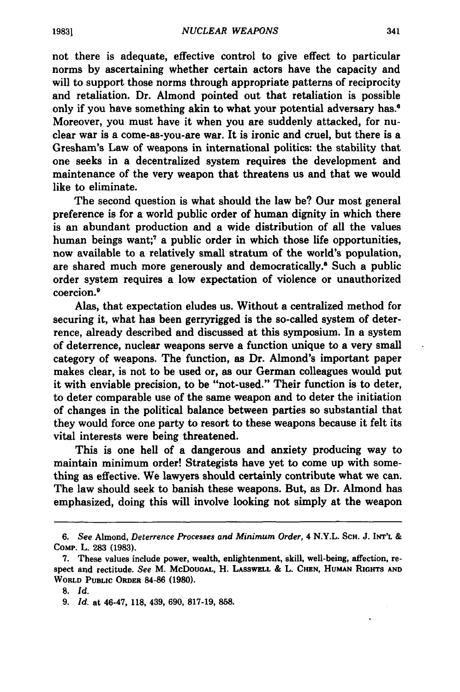not there is adequate, effective control to give effect to particular norms **by** ascertaining whether certain actors have the capacity and will to support those norms through appropriate patterns of reciprocity and retaliation. Dr. Almond pointed out that retaliation is possible only if you have something akin to what your potential adversary has.<sup>6</sup> Moreover, you must have it when you are suddenly attacked, for nuclear war is a come-as-you-are war. It is ironic and cruel, but there is a Gresham's Law of weapons in international politics: the stability that one seeks in a decentralized system requires the development and maintenance of the very weapon that threatens us and that we would like to eliminate.

The second question is what should the law be? Our most general preference is for a world public order of human dignity in which there is an abundant production and a wide distribution of all the values human beings want;<sup>7</sup> a public order in which those life opportunities, now available to a relatively small stratum of the world's population, are shared much more generously and democratically.<sup>8</sup> Such a public order system requires a low expectation of violence or unauthorized coercion.9

Alas, that expectation eludes us. Without a centralized method for securing it, what has been gerryrigged is the so-called system of deterrence, already described and discussed at this symposium. In a system **of** deterrence, nuclear weapons serve a function unique to a very small category of weapons. The function, as Dr. Almond's important paper makes clear, is not to be used or, as our German colleagues would put it with enviable precision, to be "not-used." Their function is to deter, to deter comparable use of the same weapon and to deter the initiation of changes in the political balance between parties so substantial that they would force one party to resort to these weapons because it felt its vital interests were being threatened.

This is one hell of a dangerous and anxiety producing way to maintain minimum order! Strategists have yet to come up with something as effective. We lawyers should certainly contribute what we can. The law should seek to banish these weapons. But, as Dr. Almond has emphasized, doing this will involve looking not simply at the weapon

*<sup>6.</sup> See* Almond, *Deterrence* Processes and *Minimum Order,* 4 N.Y.L. ScH. **J. INT'L** & COMP. L. **283 (1983).**

**<sup>7.</sup>** These values include power, wealth, enlightenment, skill, well-being, affection, respect and rectitude. *See* M. McDoUGAL, H. LASSwELL **&** L. **CHEN, HUMAN RIGHTS AND** WORLD **PUBLIC ORDER 84-86 (1980).**

**<sup>8.</sup>** *Id.*

<sup>9.</sup> *Id.* at 46-47, 118, 439, **690,** 817-19, 858.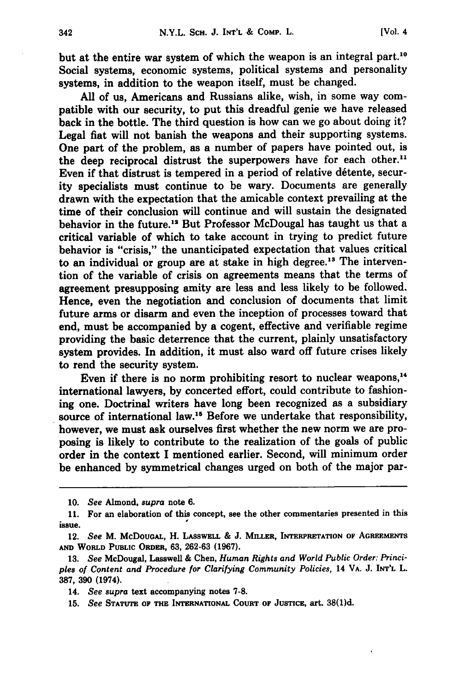but at the entire war system of which the weapon is an integral part.<sup>10</sup> Social systems, economic systems, political systems and personality systems, in addition to the weapon itself, must be changed.

**All** of us, Americans and Russians alike, wish, in some way compatible with our security, to put this dreadful genie we have released back in the bottle. The third question is how can we go about doing it? Legal fiat will not banish the weapons and their supporting systems. One part of the problem, as a number of papers have pointed out, is the deep reciprocal distrust the superpowers have for each other.<sup>11</sup> Even if that distrust is tempered in a period of relative détente, security specialists must continue to be wary. Documents are generally drawn with the expectation that the amicable context prevailing at the time of their conclusion will continue and will sustain the designated behavior in the **future.'"** But Professor McDougal has taught us that a critical variable of which to take account in trying to predict future behavior is "crisis," the unanticipated expectation that values critical to an individual or group are at stake in high degree.<sup>13</sup> The intervention of the variable of crisis on agreements means that the terms of agreement presupposing amity are less and less likely to be followed. Hence, even the negotiation and conclusion of documents that limit future arms or disarm and even the inception of processes toward that end, must be accompanied **by** a cogent, effective and verifiable regime providing the basic deterrence that the current, plainly unsatisfactory **system** provides. In addition, it must also ward off future crises likely to rend the **security system.**

Even if there is no norm prohibiting resort to nuclear weapons,<sup>14</sup> international lawyers, **by** concerted effort, could contribute to fashioning one. Doctrinal writers have long been recognized as a subsidiary source of international law.'" Before we undertake that responsibility, however, we must ask ourselves first whether the new norm we are proposing is likely to contribute to the realization of the goals of public order in the context I mentioned earlier. Second, will minimum order be enhanced **by** symmetrical changes urged on both of the major par-

**<sup>10.</sup>** *See* Almond, *supra* note **6.**

**<sup>11.</sup>** For an elaboration of this concept, see the other commentaries presented in this issue.

<sup>12.</sup> See M. McDougal, H. Lasswell & J. Miller, Interpretation of Agreements **AND** WORLD **PUBLIC** ORDER, **63, 262-63 (1967).**

**<sup>13.</sup>** *See* McDougal, Lasswell **&** Chen, *Human Rights and World Public Order: Principles of Content* and Procedure for *Clarifying Community Policies,* 14 VA. **J. INT'L** L. **387, 390** (1974).

<sup>14.</sup> *See supra* text accompanying notes **7-8.**

**<sup>15.</sup>** *See* **STATUTE OF THE INTERNATIONAL COURT OF JUSTICE,** art. **38(1)d.**